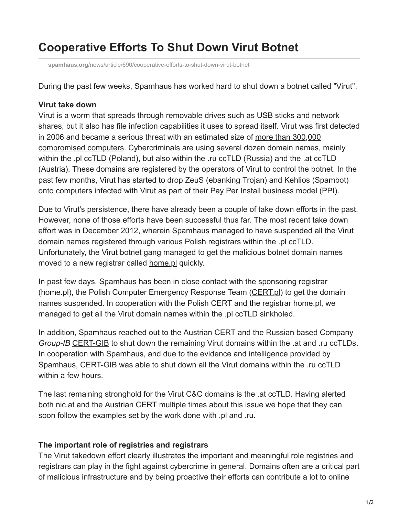# **Cooperative Efforts To Shut Down Virut Botnet**

**spamhaus.org**[/news/article/690/cooperative-efforts-to-shut-down-virut-botnet](https://www.spamhaus.org/news/article/690/cooperative-efforts-to-shut-down-virut-botnet)

During the past few weeks, Spamhaus has worked hard to shut down a botnet called "Virut".

#### **Virut take down**

Virut is a worm that spreads through removable drives such as USB sticks and network shares, but it also has file infection capabilities it uses to spread itself. Virut was first detected [in 2006 and became a serious threat with an estimated size of more than 300,000](http://www.symantec.com/connect/blogs/snapshot-virut-botnet-after-interruption) compromised computers. Cybercriminals are using several dozen domain names, mainly within the .pl ccTLD (Poland), but also within the .ru ccTLD (Russia) and the .at ccTLD (Austria). These domains are registered by the operators of Virut to control the botnet. In the past few months, Virut has started to drop ZeuS (ebanking Trojan) and Kehlios (Spambot) onto computers infected with Virut as part of their Pay Per Install business model (PPI).

Due to Virut's persistence, there have already been a couple of take down efforts in the past. However, none of those efforts have been successful thus far. The most recent take down effort was in December 2012, wherein Spamhaus managed to have suspended all the Virut domain names registered through various Polish registrars within the .pl ccTLD. Unfortunately, the Virut botnet gang managed to get the malicious botnet domain names moved to a new registrar called home pl quickly.

In past few days, Spamhaus has been in close contact with the sponsoring registrar (home.pl), the Polish Computer Emergency Response Team [\(CERT.pl](https://www.cert.pl/)) to get the domain names suspended. In cooperation with the Polish CERT and the registrar home.pl, we managed to get all the Virut domain names within the .pl ccTLD sinkholed.

In addition, Spamhaus reached out to the **Austrian CERT** and the Russian based Company *Group-IB* [CERT-GIB](http://www.cert-gib.ru/) to shut down the remaining Virut domains within the .at and .ru ccTLDs. In cooperation with Spamhaus, and due to the evidence and intelligence provided by Spamhaus, CERT-GIB was able to shut down all the Virut domains within the .ru ccTLD within a few hours.

The last remaining stronghold for the Virut C&C domains is the .at ccTLD. Having alerted both nic.at and the Austrian CERT multiple times about this issue we hope that they can soon follow the examples set by the work done with .pl and .ru.

### **The important role of registries and registrars**

The Virut takedown effort clearly illustrates the important and meaningful role registries and registrars can play in the fight against cybercrime in general. Domains often are a critical part of malicious infrastructure and by being proactive their efforts can contribute a lot to online